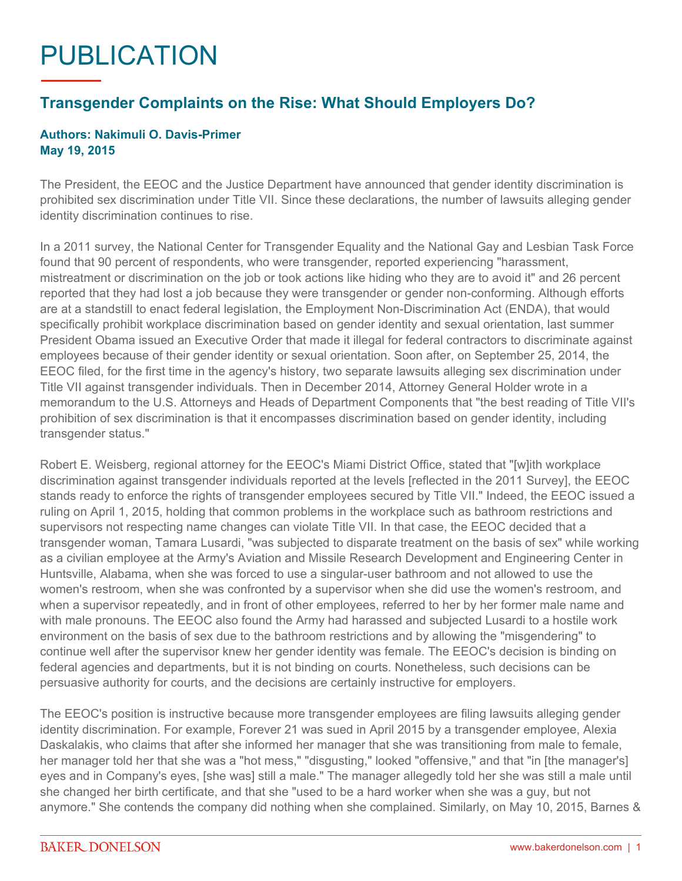## PUBLICATION

## **Transgender Complaints on the Rise: What Should Employers Do?**

## **Authors: Nakimuli O. Davis-Primer May 19, 2015**

The President, the EEOC and the Justice Department have announced that gender identity discrimination is prohibited sex discrimination under Title VII. Since these declarations, the number of lawsuits alleging gender identity discrimination continues to rise.

In a 2011 survey, the National Center for Transgender Equality and the National Gay and Lesbian Task Force found that 90 percent of respondents, who were transgender, reported experiencing "harassment, mistreatment or discrimination on the job or took actions like hiding who they are to avoid it" and 26 percent reported that they had lost a job because they were transgender or gender non-conforming. Although efforts are at a standstill to enact federal legislation, the Employment Non-Discrimination Act (ENDA), that would specifically prohibit workplace discrimination based on gender identity and sexual orientation, last summer President Obama issued an Executive Order that made it illegal for federal contractors to discriminate against employees because of their gender identity or sexual orientation. Soon after, on September 25, 2014, the EEOC filed, for the first time in the agency's history, two separate lawsuits alleging sex discrimination under Title VII against transgender individuals. Then in December 2014, Attorney General Holder wrote in a memorandum to the U.S. Attorneys and Heads of Department Components that "the best reading of Title VII's prohibition of sex discrimination is that it encompasses discrimination based on gender identity, including transgender status."

Robert E. Weisberg, regional attorney for the EEOC's Miami District Office, stated that "[w]ith workplace discrimination against transgender individuals reported at the levels [reflected in the 2011 Survey], the EEOC stands ready to enforce the rights of transgender employees secured by Title VII." Indeed, the EEOC issued a ruling on April 1, 2015, holding that common problems in the workplace such as bathroom restrictions and supervisors not respecting name changes can violate Title VII. In that case, the EEOC decided that a transgender woman, Tamara Lusardi, "was subjected to disparate treatment on the basis of sex" while working as a civilian employee at the Army's Aviation and Missile Research Development and Engineering Center in Huntsville, Alabama, when she was forced to use a singular-user bathroom and not allowed to use the women's restroom, when she was confronted by a supervisor when she did use the women's restroom, and when a supervisor repeatedly, and in front of other employees, referred to her by her former male name and with male pronouns. The EEOC also found the Army had harassed and subjected Lusardi to a hostile work environment on the basis of sex due to the bathroom restrictions and by allowing the "misgendering" to continue well after the supervisor knew her gender identity was female. The EEOC's decision is binding on federal agencies and departments, but it is not binding on courts. Nonetheless, such decisions can be persuasive authority for courts, and the decisions are certainly instructive for employers.

The EEOC's position is instructive because more transgender employees are filing lawsuits alleging gender identity discrimination. For example, Forever 21 was sued in April 2015 by a transgender employee, Alexia Daskalakis, who claims that after she informed her manager that she was transitioning from male to female, her manager told her that she was a "hot mess," "disgusting," looked "offensive," and that "in [the manager's] eyes and in Company's eyes, [she was] still a male." The manager allegedly told her she was still a male until she changed her birth certificate, and that she "used to be a hard worker when she was a guy, but not anymore." She contends the company did nothing when she complained. Similarly, on May 10, 2015, Barnes &